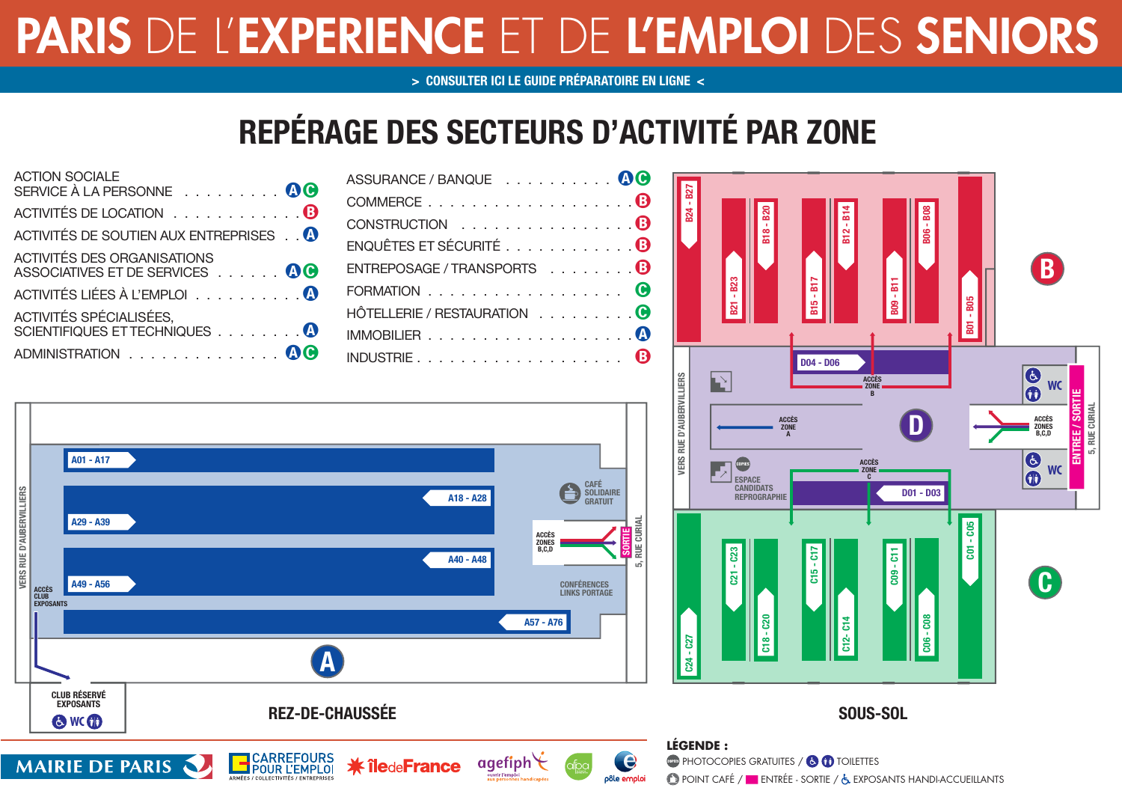# PARIS DE L'EXPERIENCE ET DE L'EMPLOI DES SENIORS

**[> CONSULTER ICI LE GUIDE PRÉPARATOIRE EN LIGNE <](http://carrefoursemploi.org/telechargement/guideForumsenior2013.pdf)**

## **REPÉRAGE DES SECTEURS D'ACTIVITÉ PAR ZONE**

| <b>ACTION SOCIALE</b><br>SERVICE À LA PERSONNE 00             |
|---------------------------------------------------------------|
| ACTIVITÉS DE LOCATION 8                                       |
| ACTIVITÉS DE SOUTIEN AUX ENTREPRISES                          |
| ACTIVITÉS DES ORGANISATIONS<br>ASSOCIATIVES ET DE SERVICES 00 |
| ACTIVITÉS LIÉES À L'EMPLOI 0                                  |
| ACTIVITÉS SPÉCIALISÉES,<br>SCIENTIFIQUES ET TECHNIQUES 4      |
| ADMINISTRATION 4                                              |

**MAIRIE DE PARIS** 

| ASSURANCE / BANQUE 00       |  |
|-----------------------------|--|
| COMMERCE8                   |  |
| CONSTRUCTION 0              |  |
| ENQUÊTES ET SÉCURITÉ 0      |  |
| ENTREPOSAGE / TRANSPORTS B  |  |
| FORMATION 0                 |  |
| HÔTELLERIE / RESTAURATION 0 |  |
|                             |  |
|                             |  |

 $q$  agefiph

.<br>vrir l'emploi

**ik île**de**France** 



CARREFOURS<br>POUR L'EMPLOI



### **SOUS-SOL**

#### **LÉGENDE : OF PHOTOCOPIES GRATUITES / <b>B** (F) TOILETTES

e

pôle emploi

**POINT CAFÉ / ENTRÉE - SORTIE / & EXPOSANTS HANDI-ACCUEILLANTS**